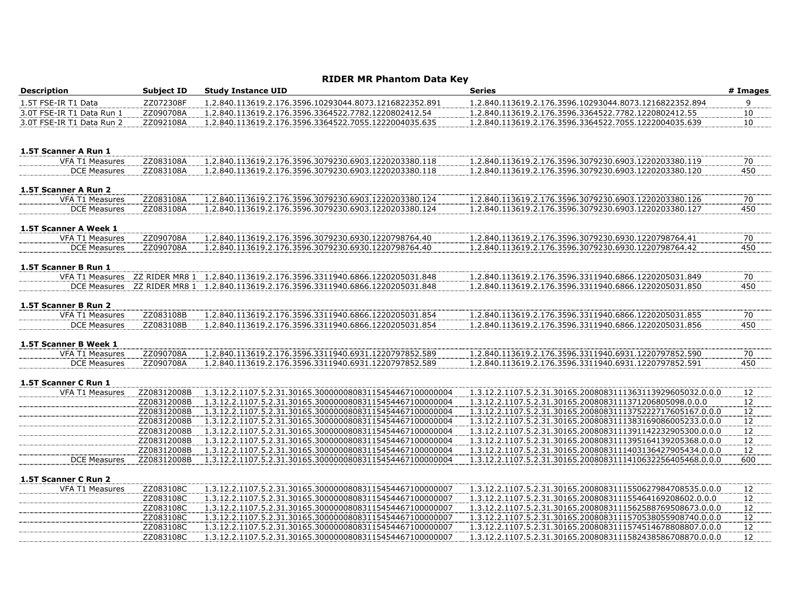## **RIDER MR Phantom Data Key**

| <b>Description</b>        | <b>Subject ID</b>      | <b>Study Instance UID</b>                                                                                            | <b>Series</b>                                                                                                            | # Images        |
|---------------------------|------------------------|----------------------------------------------------------------------------------------------------------------------|--------------------------------------------------------------------------------------------------------------------------|-----------------|
| 1.5T FSE-IR T1 Data       | ZZ072308F              | 1.2.840.113619.2.176.3596.10293044.8073.1216822352.891                                                               | 1.2.840.113619.2.176.3596.10293044.8073.1216822352.894                                                                   | 9               |
| 3.0T FSE-IR T1 Data Run 1 | ZZ090708A              | 1.2.840.113619.2.176.3596.3364522.7782.1220802412.54                                                                 | 1.2.840.113619.2.176.3596.3364522.7782.1220802412.55                                                                     | 10              |
| 3.0T FSE-IR T1 Data Run 2 | ZZ092108A              | 1.2.840.113619.2.176.3596.3364522.7055.1222004035.635                                                                | 1.2.840.113619.2.176.3596.3364522.7055.1222004035.639                                                                    | 10              |
| 1.5T Scanner A Run 1      |                        |                                                                                                                      |                                                                                                                          |                 |
| <b>VFA T1 Measures</b>    | ZZ083108A              | 1.2.840.113619.2.176.3596.3079230.6903.1220203380.118                                                                | 1.2.840.113619.2.176.3596.3079230.6903.1220203380.119                                                                    | 70              |
| <b>DCE Measures</b>       | ZZ083108A              | 1.2.840.113619.2.176.3596.3079230.6903.1220203380.118                                                                | 1.2.840.113619.2.176.3596.3079230.6903.1220203380.120                                                                    | 450             |
| 1.5T Scanner A Run 2      |                        |                                                                                                                      |                                                                                                                          |                 |
| VFA T1 Measures           | ZZ083108A              | 1.2.840.113619.2.176.3596.3079230.6903.1220203380.124                                                                | 1.2.840.113619.2.176.3596.3079230.6903.1220203380.126                                                                    | 70              |
| <b>DCE Measures</b>       | ZZ083108A              | 1.2.840.113619.2.176.3596.3079230.6903.1220203380.124                                                                | 1.2.840.113619.2.176.3596.3079230.6903.1220203380.127                                                                    | 450             |
| 1.5T Scanner A Week 1     |                        |                                                                                                                      |                                                                                                                          |                 |
| VFA T1 Measures           | ZZ090708A              | 1.2.840.113619.2.176.3596.3079230.6930.1220798764.40                                                                 | 1.2.840.113619.2.176.3596.3079230.6930.1220798764.41                                                                     | 70              |
| <b>DCE Measures</b>       | ZZ090708A              | 1.2.840.113619.2.176.3596.3079230.6930.1220798764.40                                                                 | 1.2.840.113619.2.176.3596.3079230.6930.1220798764.42                                                                     | 450             |
| 1.5T Scanner B Run 1      |                        |                                                                                                                      |                                                                                                                          |                 |
| VFA T1 Measures           |                        | ZZ RIDER MR8 1  1.2.840.113619.2.176.3596.3311940.6866.1220205031.848                                                | 1.2.840.113619.2.176.3596.3311940.6866.1220205031.849                                                                    | 70              |
| <b>DCE Measures</b>       |                        | ZZ RIDER MR8 1 1.2.840.113619.2.176.3596.3311940.6866.1220205031.848                                                 | 1.2.840.113619.2.176.3596.3311940.6866.1220205031.850                                                                    | 450             |
| 1.5T Scanner B Run 2      |                        |                                                                                                                      |                                                                                                                          |                 |
| VFA T1 Measures           | ZZ083108B              | 1.2.840.113619.2.176.3596.3311940.6866.1220205031.854                                                                | 1.2.840.113619.2.176.3596.3311940.6866.1220205031.855                                                                    | 70              |
| <b>DCE Measures</b>       | ZZ083108B              | 1.2.840.113619.2.176.3596.3311940.6866.1220205031.854                                                                | 1.2.840.113619.2.176.3596.3311940.6866.1220205031.856                                                                    | 450             |
| 1.5T Scanner B Week 1     |                        |                                                                                                                      |                                                                                                                          |                 |
| <b>VFA T1 Measures</b>    | ZZ090708A              | 1.2.840.113619.2.176.3596.3311940.6931.1220797852.589                                                                | 1.2.840.113619.2.176.3596.3311940.6931.1220797852.590                                                                    | 70              |
| <b>DCE Measures</b>       | ZZ090708A              | 1.2.840.113619.2.176.3596.3311940.6931.1220797852.589                                                                | 1.2.840.113619.2.176.3596.3311940.6931.1220797852.591                                                                    | 450             |
| 1.5T Scanner C Run 1      |                        |                                                                                                                      |                                                                                                                          |                 |
| <b>VFA T1 Measures</b>    | ZZ08312008B            | 1.3.12.2.1107.5.2.31.30165.30000008083115454467100000004                                                             | 1.3.12.2.1107.5.2.31.30165.2008083111363113929605032.0.0.0                                                               | $\frac{12}{2}$  |
|                           | ZZ08312008B            | 1.3.12.2.1107.5.2.31.30165.30000008083115454467100000004                                                             | 1.3.12.2.1107.5.2.31.30165.2008083111371206805098.0.0.0                                                                  | 12              |
|                           | ZZ08312008B            | 1.3.12.2.1107.5.2.31.30165.30000008083115454467100000004                                                             | 1.3.12.2.1107.5.2.31.30165.2008083111375222717605167.0.0.0                                                               | 12              |
|                           | ZZ08312008B            | 1.3.12.2.1107.5.2.31.30165.30000008083115454467100000004                                                             | 1.3.12.2.1107.5.2.31.30165.2008083111383169086005233.0.0.0                                                               | 12              |
|                           | ZZ08312008B            | 1.3.12.2.1107.5.2.31.30165.30000008083115454467100000004                                                             | 1.3.12.2.1107.5.2.31.30165.2008083111391142232905300.0.0.0                                                               | 12              |
|                           | ZZ08312008B            | 1.3.12.2.1107.5.2.31.30165.30000008083115454467100000004                                                             | 1.3.12.2.1107.5.2.31.30165.2008083111395164139205368.0.0.0                                                               | $\overline{12}$ |
|                           | ZZ08312008B            | 1.3.12.2.1107.5.2.31.30165.30000008083115454467100000004                                                             | 1.3.12.2.1107.5.2.31.30165.2008083111403136427905434.0.0.0                                                               | $12$            |
| <b>DCE Measures</b>       | ZZ08312008B            | 1.3.12.2.1107.5.2.31.30165.30000008083115454467100000004                                                             | 1.3.12.2.1107.5.2.31.30165.2008083111410632256405468.0.0.0                                                               | 600             |
| 1.5T Scanner C Run 2      |                        |                                                                                                                      |                                                                                                                          |                 |
| <b>VFA T1 Measures</b>    | ZZ083108C              | 1.3.12.2.1107.5.2.31.30165.30000008083115454467100000007                                                             | 1.3.12.2.1107.5.2.31.30165.2008083111550627984708535.0.0.0                                                               | $\frac{12}{2}$  |
|                           | ZZ083108C              | 1.3.12.2.1107.5.2.31.30165.30000008083115454467100000007                                                             | 1.3.12.2.1107.5.2.31.30165.200808311155464169208602.0.0.0                                                                | 12              |
|                           | ZZ083108C              | 1.3.12.2.1107.5.2.31.30165.30000008083115454467100000007                                                             | 1.3.12.2.1107.5.2.31.30165.2008083111562588769508673.0.0.0                                                               | 12              |
|                           | ZZ083108C<br>ZZ083108C | 1.3.12.2.1107.5.2.31.30165.30000008083115454467100000007<br>1.3.12.2.1107.5.2.31.30165.30000008083115454467100000007 | 1.3.12.2.1107.5.2.31.30165.2008083111570538055908740.0.0.0<br>1.3.12.2.1107.5.2.31.30165.2008083111574514678808807.0.0.0 | 12<br>12        |
|                           |                        |                                                                                                                      | 1.3.12.2.1107.5.2.31.30165.2008083111582438586708870.0.0.0                                                               | 12              |
|                           | ZZ083108C              | 1.3.12.2.1107.5.2.31.30165.30000008083115454467100000007                                                             |                                                                                                                          |                 |